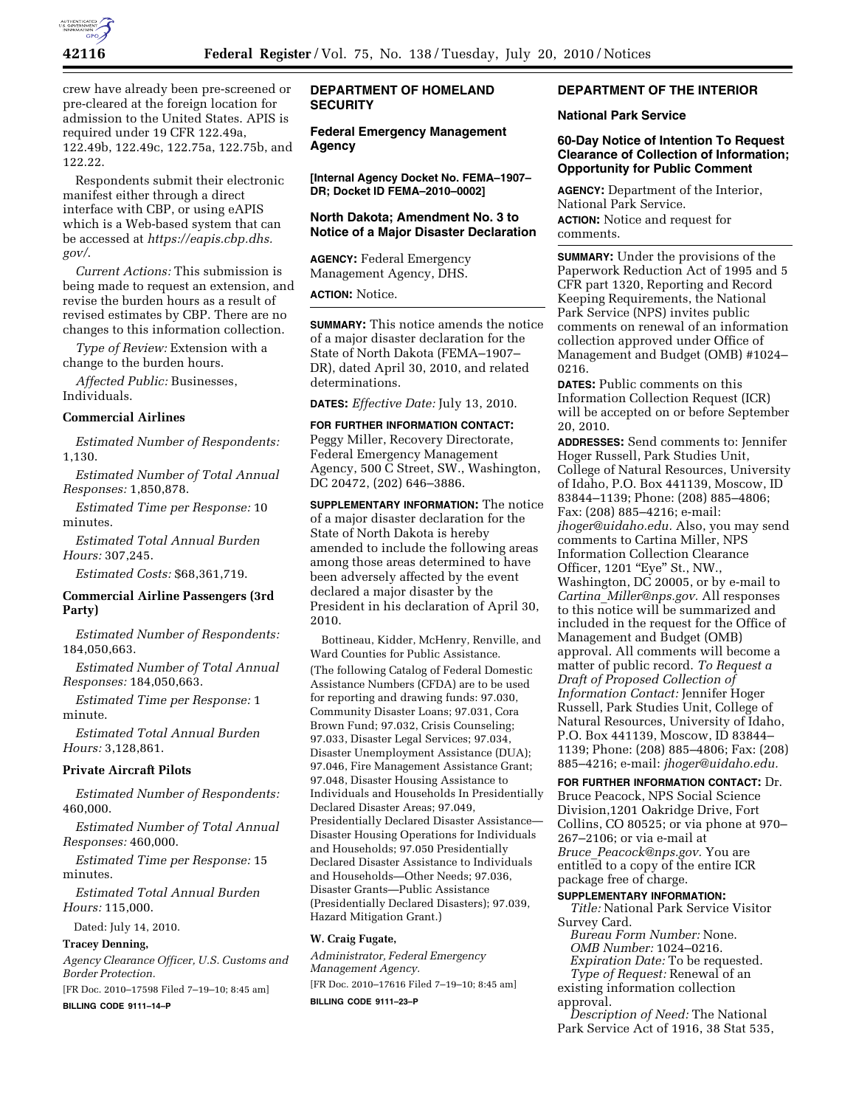

crew have already been pre-screened or pre-cleared at the foreign location for admission to the United States. APIS is required under 19 CFR 122.49a, 122.49b, 122.49c, 122.75a, 122.75b, and 122.22.

Respondents submit their electronic manifest either through a direct interface with CBP, or using eAPIS which is a Web-based system that can be accessed at *https://eapis.cbp.dhs. gov/*.

*Current Actions:* This submission is being made to request an extension, and revise the burden hours as a result of revised estimates by CBP. There are no changes to this information collection.

*Type of Review:* Extension with a change to the burden hours.

*Affected Public:* Businesses, Individuals.

#### **Commercial Airlines**

*Estimated Number of Respondents:*  1,130.

*Estimated Number of Total Annual Responses:* 1,850,878.

*Estimated Time per Response:* 10 minutes.

*Estimated Total Annual Burden Hours:* 307,245.

*Estimated Costs:* \$68,361,719.

### **Commercial Airline Passengers (3rd Party)**

*Estimated Number of Respondents:*  184,050,663.

*Estimated Number of Total Annual Responses:* 184,050,663.

*Estimated Time per Response:* 1 minute.

*Estimated Total Annual Burden Hours:* 3,128,861.

#### **Private Aircraft Pilots**

*Estimated Number of Respondents:*  460,000.

*Estimated Number of Total Annual Responses:* 460,000.

*Estimated Time per Response:* 15 minutes.

*Estimated Total Annual Burden Hours:* 115,000.

Dated: July 14, 2010.

## **Tracey Denning,**

*Agency Clearance Officer, U.S. Customs and Border Protection.*  [FR Doc. 2010–17598 Filed 7–19–10; 8:45 am]

**BILLING CODE 9111–14–P** 

# **DEPARTMENT OF HOMELAND SECURITY**

**Federal Emergency Management Agency** 

**[Internal Agency Docket No. FEMA–1907– DR; Docket ID FEMA–2010–0002]** 

#### **North Dakota; Amendment No. 3 to Notice of a Major Disaster Declaration**

**AGENCY:** Federal Emergency Management Agency, DHS.

#### **ACTION:** Notice.

**SUMMARY:** This notice amends the notice of a major disaster declaration for the State of North Dakota (FEMA–1907– DR), dated April 30, 2010, and related determinations.

**DATES:** *Effective Date:* July 13, 2010.

## **FOR FURTHER INFORMATION CONTACT:**  Peggy Miller, Recovery Directorate, Federal Emergency Management Agency, 500 C Street, SW., Washington, DC 20472, (202) 646–3886.

**SUPPLEMENTARY INFORMATION:** The notice of a major disaster declaration for the State of North Dakota is hereby amended to include the following areas among those areas determined to have been adversely affected by the event declared a major disaster by the President in his declaration of April 30, 2010.

Bottineau, Kidder, McHenry, Renville, and Ward Counties for Public Assistance. (The following Catalog of Federal Domestic Assistance Numbers (CFDA) are to be used for reporting and drawing funds: 97.030, Community Disaster Loans; 97.031, Cora Brown Fund; 97.032, Crisis Counseling; 97.033, Disaster Legal Services; 97.034, Disaster Unemployment Assistance (DUA); 97.046, Fire Management Assistance Grant; 97.048, Disaster Housing Assistance to Individuals and Households In Presidentially Declared Disaster Areas; 97.049, Presidentially Declared Disaster Assistance— Disaster Housing Operations for Individuals and Households; 97.050 Presidentially Declared Disaster Assistance to Individuals and Households—Other Needs; 97.036, Disaster Grants—Public Assistance (Presidentially Declared Disasters); 97.039, Hazard Mitigation Grant.)

### **W. Craig Fugate,**

*Administrator, Federal Emergency Management Agency.*  [FR Doc. 2010–17616 Filed 7–19–10; 8:45 am] **BILLING CODE 9111–23–P** 

# **DEPARTMENT OF THE INTERIOR**

#### **National Park Service**

**60-Day Notice of Intention To Request Clearance of Collection of Information; Opportunity for Public Comment** 

**AGENCY:** Department of the Interior, National Park Service. **ACTION:** Notice and request for comments.

**SUMMARY:** Under the provisions of the Paperwork Reduction Act of 1995 and 5 CFR part 1320, Reporting and Record Keeping Requirements, the National Park Service (NPS) invites public comments on renewal of an information collection approved under Office of Management and Budget (OMB) #1024– 0216.

**DATES:** Public comments on this Information Collection Request (ICR) will be accepted on or before September 20, 2010.

**ADDRESSES:** Send comments to: Jennifer Hoger Russell, Park Studies Unit, College of Natural Resources, University of Idaho, P.O. Box 441139, Moscow, ID 83844–1139; Phone: (208) 885–4806; Fax: (208) 885–4216; e-mail: *jhoger@uidaho.edu.* Also, you may send comments to Cartina Miller, NPS Information Collection Clearance Officer, 1201 "Eye" St., NW., Washington, DC 20005, or by e-mail to *Cartina*\_*Miller@nps.gov.* All responses to this notice will be summarized and included in the request for the Office of Management and Budget (OMB) approval. All comments will become a matter of public record. *To Request a Draft of Proposed Collection of Information Contact:* Jennifer Hoger Russell, Park Studies Unit, College of Natural Resources, University of Idaho, P.O. Box 441139, Moscow, ID 83844– 1139; Phone: (208) 885–4806; Fax: (208) 885–4216; e-mail: *jhoger@uidaho.edu.* 

**FOR FURTHER INFORMATION CONTACT:** Dr. Bruce Peacock, NPS Social Science Division,1201 Oakridge Drive, Fort Collins, CO 80525; or via phone at 970– 267–2106; or via e-mail at *Bruce*\_*Peacock@nps.gov.* You are entitled to a copy of the entire ICR package free of charge.

## **SUPPLEMENTARY INFORMATION:**

*Title:* National Park Service Visitor Survey Card.

*Bureau Form Number:* None. *OMB Number:* 1024–0216. *Expiration Date:* To be requested. *Type of Request:* Renewal of an

existing information collection approval.

*Description of Need:* The National Park Service Act of 1916, 38 Stat 535,